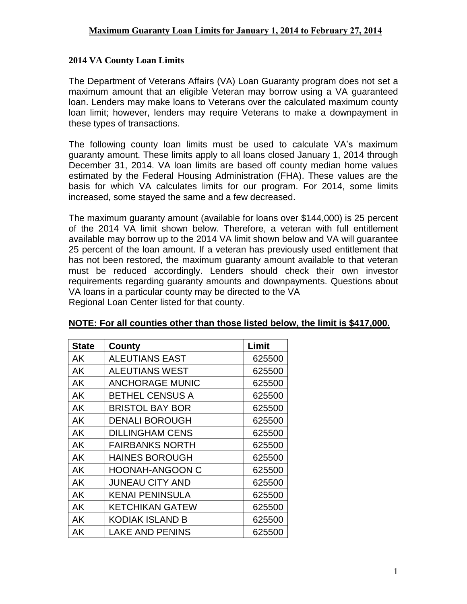## **2014 VA County Loan Limits**

The Department of Veterans Affairs (VA) Loan Guaranty program does not set a maximum amount that an eligible Veteran may borrow using a VA guaranteed loan. Lenders may make loans to Veterans over the calculated maximum county loan limit; however, lenders may require Veterans to make a downpayment in these types of transactions.

The following county loan limits must be used to calculate VA's maximum guaranty amount. These limits apply to all loans closed January 1, 2014 through December 31, 2014. VA loan limits are based off county median home values estimated by the Federal Housing Administration (FHA). These values are the basis for which VA calculates limits for our program. For 2014, some limits increased, some stayed the same and a few decreased.

The maximum guaranty amount (available for loans over \$144,000) is 25 percent of the 2014 VA limit shown below. Therefore, a veteran with full entitlement available may borrow up to the 2014 VA limit shown below and VA will guarantee 25 percent of the loan amount. If a veteran has previously used entitlement that has not been restored, the maximum guaranty amount available to that veteran must be reduced accordingly. Lenders should check their own investor requirements regarding guaranty amounts and downpayments. Questions about VA loans in a particular county may be directed to the VA

| Regional Loan Center listed for that county. |  |
|----------------------------------------------|--|
|----------------------------------------------|--|

| <b>State</b> | County                 | Limit  |
|--------------|------------------------|--------|
| AK           | <b>ALEUTIANS EAST</b>  | 625500 |
| AK           | <b>ALEUTIANS WEST</b>  | 625500 |
| AK           | <b>ANCHORAGE MUNIC</b> | 625500 |
| AK           | <b>BETHEL CENSUS A</b> | 625500 |
| AK           | BRISTOL BAY BOR        | 625500 |
| AK           | <b>DENALI BOROUGH</b>  | 625500 |
| AK           | <b>DILLINGHAM CENS</b> | 625500 |
| AK           | <b>FAIRBANKS NORTH</b> | 625500 |
| AK           | <b>HAINES BOROUGH</b>  | 625500 |
| AK           | <b>HOONAH-ANGOON C</b> | 625500 |
| AK           | <b>JUNEAU CITY AND</b> | 625500 |
| AK           | KENAI PENINSULA        | 625500 |
| AK           | <b>KETCHIKAN GATEW</b> | 625500 |
| AK           | KODIAK ISLAND B        | 625500 |
| AΚ           | <b>LAKE AND PENINS</b> | 625500 |

## **NOTE: For all counties other than those listed below, the limit is \$417,000.**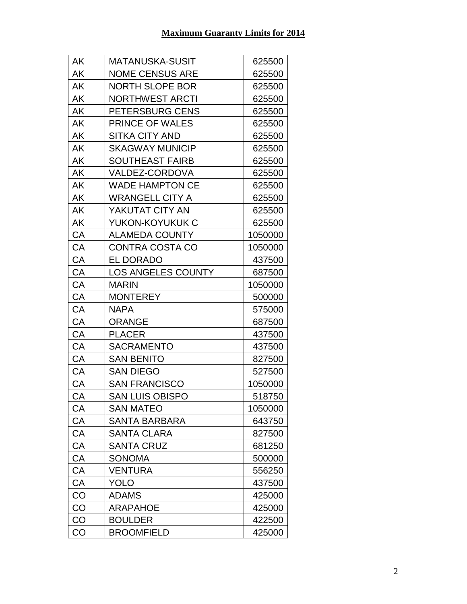| AK        | <b>MATANUSKA-SUSIT</b>    | 625500  |
|-----------|---------------------------|---------|
| AK        | <b>NOME CENSUS ARE</b>    | 625500  |
| AK        | <b>NORTH SLOPE BOR</b>    | 625500  |
| AK        | <b>NORTHWEST ARCTI</b>    | 625500  |
| ΑK        | PETERSBURG CENS           | 625500  |
| AK        | <b>PRINCE OF WALES</b>    | 625500  |
| AK        | <b>SITKA CITY AND</b>     | 625500  |
| ΑK        | <b>SKAGWAY MUNICIP</b>    | 625500  |
| AK        | <b>SOUTHEAST FAIRB</b>    | 625500  |
| AK        | VALDEZ-CORDOVA            | 625500  |
| AK        | <b>WADE HAMPTON CE</b>    | 625500  |
| ΑK        | <b>WRANGELL CITY A</b>    | 625500  |
| ΑK        | YAKUTAT CITY AN           | 625500  |
| AK        | YUKON-KOYUKUK C           | 625500  |
| CA        | <b>ALAMEDA COUNTY</b>     | 1050000 |
| CA        | <b>CONTRA COSTA CO</b>    | 1050000 |
| CA        | <b>EL DORADO</b>          | 437500  |
| CA        | <b>LOS ANGELES COUNTY</b> | 687500  |
| CA        | <b>MARIN</b>              | 1050000 |
| CA        | <b>MONTEREY</b>           | 500000  |
| CA        | <b>NAPA</b>               | 575000  |
| CA        | <b>ORANGE</b>             | 687500  |
| CA        | <b>PLACER</b>             | 437500  |
| CA        | <b>SACRAMENTO</b>         | 437500  |
| CA        | <b>SAN BENITO</b>         | 827500  |
| CA        | <b>SAN DIEGO</b>          | 527500  |
| CA        | <b>SAN FRANCISCO</b>      | 1050000 |
| CA        | <b>SAN LUIS OBISPO</b>    | 518750  |
| СA        | <b>SAN MATEO</b>          | 1050000 |
| СA        | SANTA BARBARA             | 643750  |
| CA        | <b>SANTA CLARA</b>        | 827500  |
| CA        | <b>SANTA CRUZ</b>         | 681250  |
| СA        | SONOMA                    | 500000  |
| <b>CA</b> | <b>VENTURA</b>            | 556250  |
| CA        | <b>YOLO</b>               | 437500  |
| CO        | <b>ADAMS</b>              | 425000  |
| CO        | ARAPAHOE                  | 425000  |
| CO        | <b>BOULDER</b>            | 422500  |
| CO        | <b>BROOMFIELD</b>         | 425000  |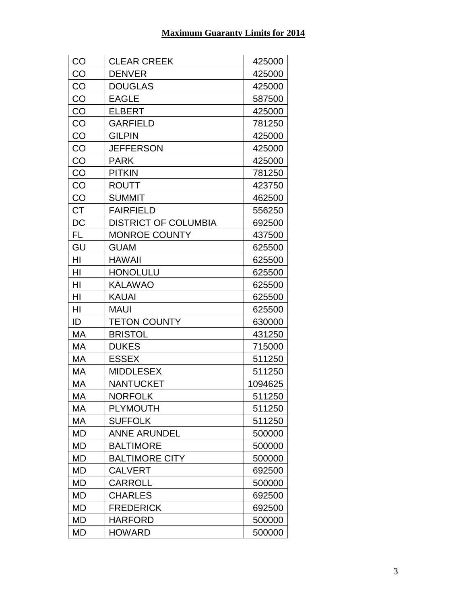| CO        | <b>CLEAR CREEK</b>          | 425000  |
|-----------|-----------------------------|---------|
| CO        | <b>DENVER</b>               | 425000  |
| CO        | <b>DOUGLAS</b>              | 425000  |
| CO        | <b>EAGLE</b>                | 587500  |
| CO        | <b>ELBERT</b>               | 425000  |
| CO        | <b>GARFIELD</b>             | 781250  |
| CO        | <b>GILPIN</b>               | 425000  |
| CO        | <b>JEFFERSON</b>            | 425000  |
| CO        | <b>PARK</b>                 | 425000  |
| CO        | <b>PITKIN</b>               | 781250  |
| CO        | <b>ROUTT</b>                | 423750  |
| CO        | <b>SUMMIT</b>               | 462500  |
| <b>CT</b> | <b>FAIRFIELD</b>            | 556250  |
| DC        | <b>DISTRICT OF COLUMBIA</b> | 692500  |
| FL        | <b>MONROE COUNTY</b>        | 437500  |
| GU        | <b>GUAM</b>                 | 625500  |
| HI        | <b>HAWAII</b>               | 625500  |
| HI        | <b>HONOLULU</b>             | 625500  |
| HI        | <b>KALAWAO</b>              | 625500  |
| HI        | <b>KAUAI</b>                | 625500  |
| HI        | <b>MAUI</b>                 | 625500  |
| ID        | <b>TETON COUNTY</b>         | 630000  |
| МA        | <b>BRISTOL</b>              | 431250  |
| MA        | <b>DUKES</b>                | 715000  |
| МA        | <b>ESSEX</b>                | 511250  |
| МA        | <b>MIDDLESEX</b>            | 511250  |
| МA        | <b>NANTUCKET</b>            | 1094625 |
| МA        | <b>NORFOLK</b>              | 511250  |
| МA        | <b>PLYMOUTH</b>             | 511250  |
| МA        | <b>SUFFOLK</b>              | 511250  |
| MD        | <b>ANNE ARUNDEL</b>         | 500000  |
| MD        | <b>BALTIMORE</b>            | 500000  |
| MD        | <b>BALTIMORE CITY</b>       | 500000  |
| MD        | <b>CALVERT</b>              | 692500  |
| MD        | <b>CARROLL</b>              | 500000  |
| MD        | <b>CHARLES</b>              | 692500  |
| MD        | <b>FREDERICK</b>            | 692500  |
| MD        | <b>HARFORD</b>              | 500000  |
| MD        | <b>HOWARD</b>               | 500000  |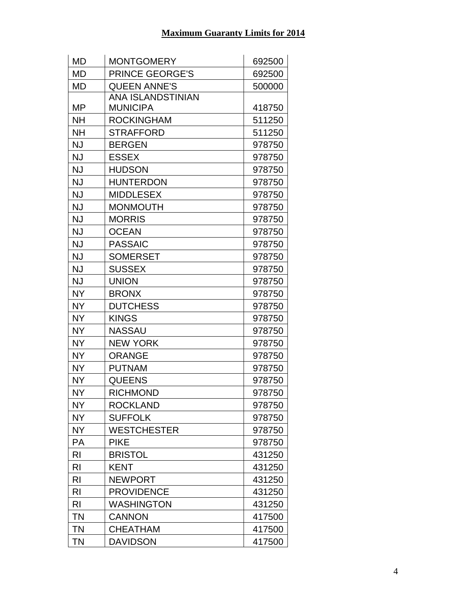| MD             | <b>MONTGOMERY</b>      | 692500 |
|----------------|------------------------|--------|
| MD             | <b>PRINCE GEORGE'S</b> | 692500 |
| <b>MD</b>      | <b>QUEEN ANNE'S</b>    | 500000 |
|                | ANA ISLANDSTINIAN      |        |
| MP             | <b>MUNICIPA</b>        | 418750 |
| <b>NH</b>      | <b>ROCKINGHAM</b>      | 511250 |
| <b>NH</b>      | STRAFFORD              | 511250 |
| <b>NJ</b>      | <b>BERGEN</b>          | 978750 |
| <b>NJ</b>      | <b>ESSEX</b>           | 978750 |
| <b>NJ</b>      | <b>HUDSON</b>          | 978750 |
| <b>NJ</b>      | <b>HUNTERDON</b>       | 978750 |
| <b>NJ</b>      | <b>MIDDLESEX</b>       | 978750 |
| NJ             | <b>MONMOUTH</b>        | 978750 |
| <b>NJ</b>      | <b>MORRIS</b>          | 978750 |
| <b>NJ</b>      | <b>OCEAN</b>           | 978750 |
| <b>NJ</b>      | <b>PASSAIC</b>         | 978750 |
| <b>NJ</b>      | <b>SOMERSET</b>        | 978750 |
| <b>NJ</b>      | <b>SUSSEX</b>          | 978750 |
| <b>NJ</b>      | <b>UNION</b>           | 978750 |
| <b>NY</b>      | <b>BRONX</b>           | 978750 |
| <b>NY</b>      | <b>DUTCHESS</b>        | 978750 |
| <b>NY</b>      | <b>KINGS</b>           | 978750 |
| <b>NY</b>      | <b>NASSAU</b>          | 978750 |
| <b>NY</b>      | <b>NEW YORK</b>        | 978750 |
| <b>NY</b>      | <b>ORANGE</b>          | 978750 |
| <b>NY</b>      | <b>PUTNAM</b>          | 978750 |
| <b>NY</b>      | <b>QUEENS</b>          | 978750 |
| <b>NY</b>      | <b>RICHMOND</b>        | 978750 |
| <b>NY</b>      | <b>ROCKLAND</b>        | 978750 |
| <b>NY</b>      | <b>SUFFOLK</b>         | 978750 |
| <b>NY</b>      | <b>WESTCHESTER</b>     | 978750 |
| <b>PA</b>      | <b>PIKE</b>            | 978750 |
| R <sub>l</sub> | <b>BRISTOL</b>         | 431250 |
| R <sub>l</sub> | <b>KENT</b>            | 431250 |
| R <sub>l</sub> | <b>NEWPORT</b>         | 431250 |
| R <sub>l</sub> | <b>PROVIDENCE</b>      | 431250 |
| R <sub>l</sub> | <b>WASHINGTON</b>      | 431250 |
| <b>TN</b>      | <b>CANNON</b>          | 417500 |
| <b>TN</b>      | <b>CHEATHAM</b>        | 417500 |
| <b>TN</b>      | <b>DAVIDSON</b>        | 417500 |